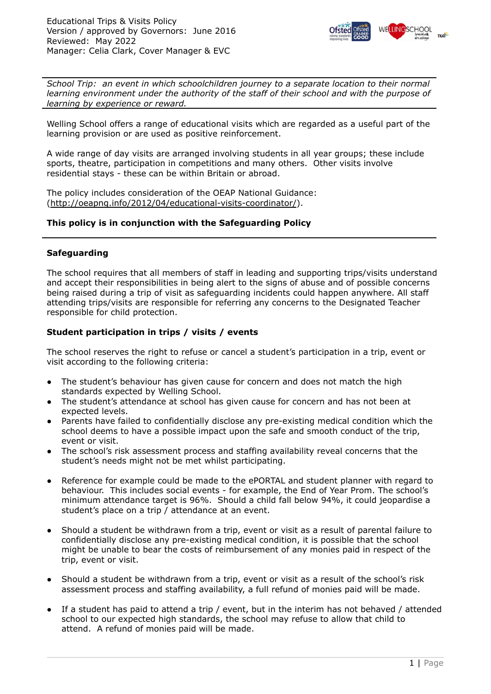

*School Trip: an event in which schoolchildren journey to a separate location to their normal learning environment under the authority of the staff of their school and with the purpose of learning by experience or reward.*

Welling School offers a range of educational visits which are regarded as a useful part of the learning provision or are used as positive reinforcement.

A wide range of day visits are arranged involving students in all year groups; these include sports, theatre, participation in competitions and many others. Other visits involve residential stays - these can be within Britain or abroad.

The policy includes consideration of the OEAP National Guidance: [\(http://oeapng.info/2012/04/educational-visits-coordinator/](http://oeapng.info/2012/04/educational-visits-coordinator/)).

## **This policy is in conjunction with the Safeguarding Policy**

## **Safeguarding**

The school requires that all members of staff in leading and supporting trips/visits understand and accept their responsibilities in being alert to the signs of abuse and of possible concerns being raised during a trip of visit as safeguarding incidents could happen anywhere. All staff attending trips/visits are responsible for referring any concerns to the Designated Teacher responsible for child protection.

## **Student participation in trips / visits / events**

The school reserves the right to refuse or cancel a student's participation in a trip, event or visit according to the following criteria:

- The student's behaviour has given cause for concern and does not match the high standards expected by Welling School.
- The student's attendance at school has given cause for concern and has not been at expected levels.
- Parents have failed to confidentially disclose any pre-existing medical condition which the school deems to have a possible impact upon the safe and smooth conduct of the trip, event or visit.
- The school's risk assessment process and staffing availability reveal concerns that the student's needs might not be met whilst participating.
- Reference for example could be made to the ePORTAL and student planner with regard to behaviour. This includes social events - for example, the End of Year Prom. The school's minimum attendance target is 96%. Should a child fall below 94%, it could jeopardise a student's place on a trip / attendance at an event.
- Should a student be withdrawn from a trip, event or visit as a result of parental failure to confidentially disclose any pre-existing medical condition, it is possible that the school might be unable to bear the costs of reimbursement of any monies paid in respect of the trip, event or visit.
- Should a student be withdrawn from a trip, event or visit as a result of the school's risk assessment process and staffing availability, a full refund of monies paid will be made.
- If a student has paid to attend a trip / event, but in the interim has not behaved / attended school to our expected high standards, the school may refuse to allow that child to attend. A refund of monies paid will be made.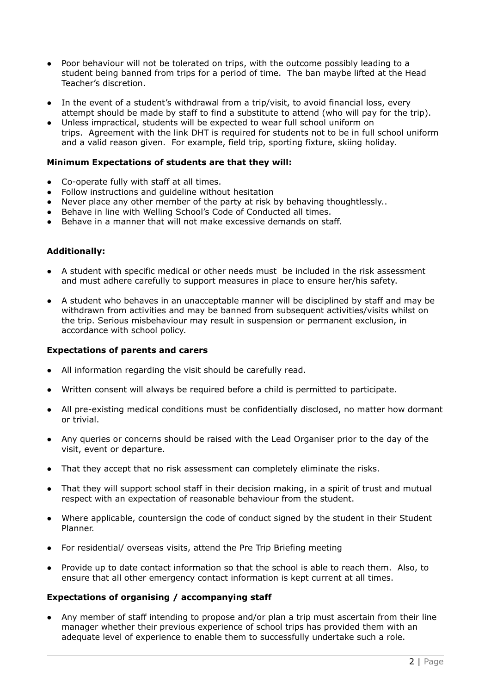- Poor behaviour will not be tolerated on trips, with the outcome possibly leading to a student being banned from trips for a period of time. The ban maybe lifted at the Head Teacher's discretion.
- In the event of a student's withdrawal from a trip/visit, to avoid financial loss, every attempt should be made by staff to find a substitute to attend (who will pay for the trip).
- Unless impractical, students will be expected to wear full school uniform on trips. Agreement with the link DHT is required for students not to be in full school uniform and a valid reason given. For example, field trip, sporting fixture, skiing holiday.

## **Minimum Expectations of students are that they will:**

- Co-operate fully with staff at all times.
- Follow instructions and guideline without hesitation
- Never place any other member of the party at risk by behaving thoughtlessly..
- Behave in line with Welling School's Code of Conducted all times.
- $\bullet$  Behave in a manner that will not make excessive demands on staff.

## **Additionally:**

- A student with specific medical or other needs must be included in the risk assessment and must adhere carefully to support measures in place to ensure her/his safety.
- A student who behaves in an unacceptable manner will be disciplined by staff and may be withdrawn from activities and may be banned from subsequent activities/visits whilst on the trip. Serious misbehaviour may result in suspension or permanent exclusion, in accordance with school policy.

#### **Expectations of parents and carers**

- All information regarding the visit should be carefully read.
- Written consent will always be required before a child is permitted to participate.
- All pre-existing medical conditions must be confidentially disclosed, no matter how dormant or trivial.
- Any queries or concerns should be raised with the Lead Organiser prior to the day of the visit, event or departure.
- That they accept that no risk assessment can completely eliminate the risks.
- That they will support school staff in their decision making, in a spirit of trust and mutual respect with an expectation of reasonable behaviour from the student.
- Where applicable, countersign the code of conduct signed by the student in their Student Planner.
- For residential/ overseas visits, attend the Pre Trip Briefing meeting
- Provide up to date contact information so that the school is able to reach them. Also, to ensure that all other emergency contact information is kept current at all times.

#### **Expectations of organising / accompanying staff**

● Any member of staff intending to propose and/or plan a trip must ascertain from their line manager whether their previous experience of school trips has provided them with an adequate level of experience to enable them to successfully undertake such a role.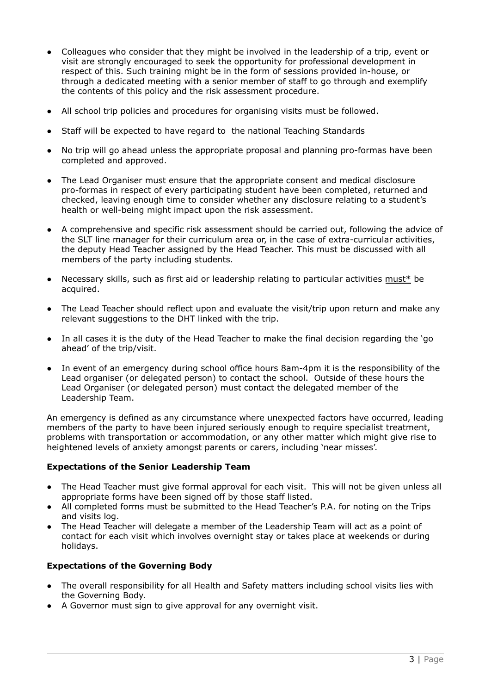- Colleagues who consider that they might be involved in the leadership of a trip, event or visit are strongly encouraged to seek the opportunity for professional development in respect of this. Such training might be in the form of sessions provided in-house, or through a dedicated meeting with a senior member of staff to go through and exemplify the contents of this policy and the risk assessment procedure.
- All school trip policies and procedures for organising visits must be followed.
- Staff will be expected to have regard to the national Teaching Standards
- No trip will go ahead unless the appropriate proposal and planning pro-formas have been completed and approved.
- The Lead Organiser must ensure that the appropriate consent and medical disclosure pro-formas in respect of every participating student have been completed, returned and checked, leaving enough time to consider whether any disclosure relating to a student's health or well-being might impact upon the risk assessment.
- A comprehensive and specific risk assessment should be carried out, following the advice of the SLT line manager for their curriculum area or, in the case of extra-curricular activities, the deputy Head Teacher assigned by the Head Teacher. This must be discussed with all members of the party including students.
- Necessary skills, such as first aid or leadership relating to particular activities must\* be acquired.
- The Lead Teacher should reflect upon and evaluate the visit/trip upon return and make any relevant suggestions to the DHT linked with the trip.
- In all cases it is the duty of the Head Teacher to make the final decision regarding the 'go ahead' of the trip/visit.
- In event of an emergency during school office hours 8am-4pm it is the responsibility of the Lead organiser (or delegated person) to contact the school. Outside of these hours the Lead Organiser (or delegated person) must contact the delegated member of the Leadership Team.

An emergency is defined as any circumstance where unexpected factors have occurred, leading members of the party to have been injured seriously enough to require specialist treatment, problems with transportation or accommodation, or any other matter which might give rise to heightened levels of anxiety amongst parents or carers, including 'near misses'.

#### **Expectations of the Senior Leadership Team**

- The Head Teacher must give formal approval for each visit. This will not be given unless all appropriate forms have been signed off by those staff listed.
- All completed forms must be submitted to the Head Teacher's P.A. for noting on the Trips and visits log.
- The Head Teacher will delegate a member of the Leadership Team will act as a point of contact for each visit which involves overnight stay or takes place at weekends or during holidays.

#### **Expectations of the Governing Body**

- The overall responsibility for all Health and Safety matters including school visits lies with the Governing Body.
- A Governor must sign to give approval for any overnight visit.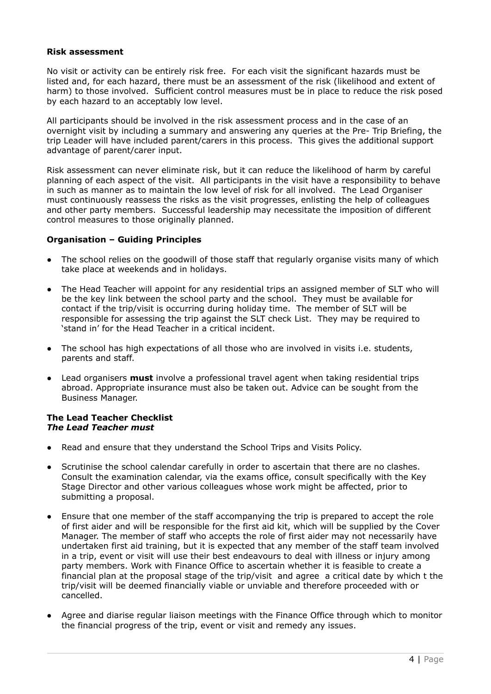#### **Risk assessment**

No visit or activity can be entirely risk free. For each visit the significant hazards must be listed and, for each hazard, there must be an assessment of the risk (likelihood and extent of harm) to those involved. Sufficient control measures must be in place to reduce the risk posed by each hazard to an acceptably low level.

All participants should be involved in the risk assessment process and in the case of an overnight visit by including a summary and answering any queries at the Pre- Trip Briefing, the trip Leader will have included parent/carers in this process. This gives the additional support advantage of parent/carer input.

Risk assessment can never eliminate risk, but it can reduce the likelihood of harm by careful planning of each aspect of the visit. All participants in the visit have a responsibility to behave in such as manner as to maintain the low level of risk for all involved. The Lead Organiser must continuously reassess the risks as the visit progresses, enlisting the help of colleagues and other party members. Successful leadership may necessitate the imposition of different control measures to those originally planned.

## **Organisation – Guiding Principles**

- The school relies on the goodwill of those staff that regularly organise visits many of which take place at weekends and in holidays.
- The Head Teacher will appoint for any residential trips an assigned member of SLT who will be the key link between the school party and the school. They must be available for contact if the trip/visit is occurring during holiday time. The member of SLT will be responsible for assessing the trip against the SLT check List. They may be required to 'stand in' for the Head Teacher in a critical incident.
- The school has high expectations of all those who are involved in visits i.e. students, parents and staff.
- Lead organisers **must** involve a professional travel agent when taking residential trips abroad. Appropriate insurance must also be taken out. Advice can be sought from the Business Manager.

## **The Lead Teacher Checklist** *The Lead Teacher must*

- Read and ensure that they understand the School Trips and Visits Policy.
- Scrutinise the school calendar carefully in order to ascertain that there are no clashes. Consult the examination calendar, via the exams office, consult specifically with the Key Stage Director and other various colleagues whose work might be affected, prior to submitting a proposal.
- Ensure that one member of the staff accompanying the trip is prepared to accept the role of first aider and will be responsible for the first aid kit, which will be supplied by the Cover Manager. The member of staff who accepts the role of first aider may not necessarily have undertaken first aid training, but it is expected that any member of the staff team involved in a trip, event or visit will use their best endeavours to deal with illness or injury among party members. Work with Finance Office to ascertain whether it is feasible to create a financial plan at the proposal stage of the trip/visit and agree a critical date by which t the trip/visit will be deemed financially viable or unviable and therefore proceeded with or cancelled.
- Agree and diarise regular liaison meetings with the Finance Office through which to monitor the financial progress of the trip, event or visit and remedy any issues.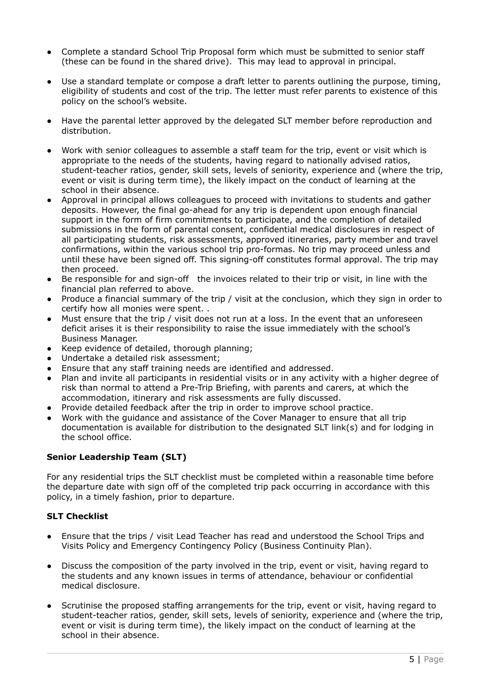- Complete a standard School Trip Proposal form which must be submitted to senior staff (these can be found in the shared drive). This may lead to approval in principal.
- Use a standard template or compose a draft letter to parents outlining the purpose, timing, eligibility of students and cost of the trip. The letter must refer parents to existence of this policy on the school's website.
- Have the parental letter approved by the delegated SLT member before reproduction and distribution.
- Work with senior colleagues to assemble a staff team for the trip, event or visit which is appropriate to the needs of the students, having regard to nationally advised ratios, student-teacher ratios, gender, skill sets, levels of seniority, experience and (where the trip, event or visit is during term time), the likely impact on the conduct of learning at the school in their absence.
- Approval in principal allows colleagues to proceed with invitations to students and gather deposits. However, the final go-ahead for any trip is dependent upon enough financial support in the form of firm commitments to participate, and the completion of detailed submissions in the form of parental consent, confidential medical disclosures in respect of all participating students, risk assessments, approved itineraries, party member and travel confirmations, within the various school trip pro-formas. No trip may proceed unless and until these have been signed off. This signing-off constitutes formal approval. The trip may then proceed.
- Be responsible for and sign-off the invoices related to their trip or visit, in line with the financial plan referred to above.
- Produce a financial summary of the trip / visit at the conclusion, which they sign in order to certify how all monies were spent. .
- Must ensure that the trip / visit does not run at a loss. In the event that an unforeseen deficit arises it is their responsibility to raise the issue immediately with the school's Business Manager.
- Keep evidence of detailed, thorough planning;
- Undertake a detailed risk assessment;
- Ensure that any staff training needs are identified and addressed.
- Plan and invite all participants in residential visits or in any activity with a higher degree of risk than normal to attend a Pre-Trip Briefing, with parents and carers, at which the accommodation, itinerary and risk assessments are fully discussed.
- Provide detailed feedback after the trip in order to improve school practice.
- Work with the guidance and assistance of the Cover Manager to ensure that all trip documentation is available for distribution to the designated SLT link(s) and for lodging in the school office.

# **Senior Leadership Team (SLT)**

For any residential trips the SLT checklist must be completed within a reasonable time before the departure date with sign off of the completed trip pack occurring in accordance with this policy, in a timely fashion, prior to departure.

# **SLT Checklist**

- Ensure that the trips / visit Lead Teacher has read and understood the School Trips and Visits Policy and Emergency Contingency Policy (Business Continuity Plan).
- Discuss the composition of the party involved in the trip, event or visit, having regard to the students and any known issues in terms of attendance, behaviour or confidential medical disclosure.
- Scrutinise the proposed staffing arrangements for the trip, event or visit, having regard to student-teacher ratios, gender, skill sets, levels of seniority, experience and (where the trip, event or visit is during term time), the likely impact on the conduct of learning at the school in their absence.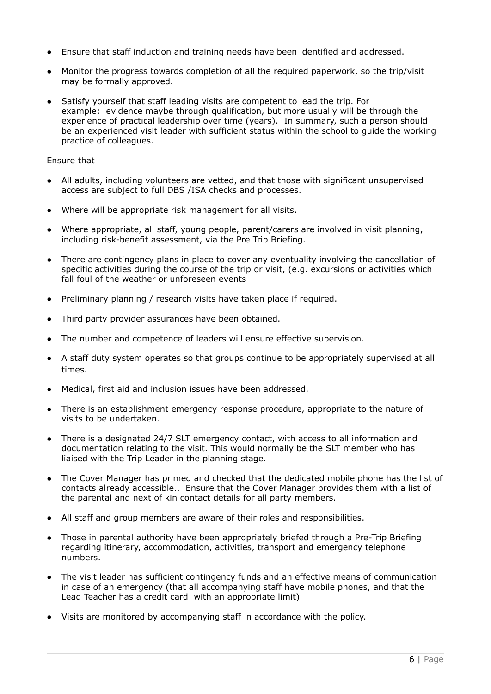- Ensure that staff induction and training needs have been identified and addressed.
- Monitor the progress towards completion of all the required paperwork, so the trip/visit may be formally approved.
- Satisfy yourself that staff leading visits are competent to lead the trip. For example: evidence maybe through qualification, but more usually will be through the experience of practical leadership over time (years). In summary, such a person should be an experienced visit leader with sufficient status within the school to guide the working practice of colleagues.

### Ensure that

- All adults, including volunteers are vetted, and that those with significant unsupervised access are subject to full DBS /ISA checks and processes.
- Where will be appropriate risk management for all visits.
- Where appropriate, all staff, young people, parent/carers are involved in visit planning, including risk-benefit assessment, via the Pre Trip Briefing.
- There are contingency plans in place to cover any eventuality involving the cancellation of specific activities during the course of the trip or visit, (e.g. excursions or activities which fall foul of the weather or unforeseen events
- Preliminary planning / research visits have taken place if required.
- Third party provider assurances have been obtained.
- The number and competence of leaders will ensure effective supervision.
- A staff duty system operates so that groups continue to be appropriately supervised at all times.
- Medical, first aid and inclusion issues have been addressed.
- There is an establishment emergency response procedure, appropriate to the nature of visits to be undertaken.
- There is a designated 24/7 SLT emergency contact, with access to all information and documentation relating to the visit. This would normally be the SLT member who has liaised with the Trip Leader in the planning stage.
- The Cover Manager has primed and checked that the dedicated mobile phone has the list of contacts already accessible.. Ensure that the Cover Manager provides them with a list of the parental and next of kin contact details for all party members.
- All staff and group members are aware of their roles and responsibilities.
- Those in parental authority have been appropriately briefed through a Pre-Trip Briefing regarding itinerary, accommodation, activities, transport and emergency telephone numbers.
- The visit leader has sufficient contingency funds and an effective means of communication in case of an emergency (that all accompanying staff have mobile phones, and that the Lead Teacher has a credit card with an appropriate limit)
- Visits are monitored by accompanying staff in accordance with the policy.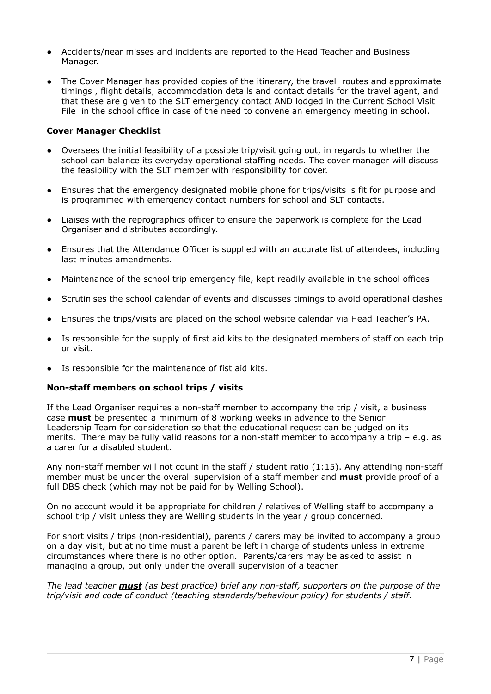- Accidents/near misses and incidents are reported to the Head Teacher and Business Manager.
- The Cover Manager has provided copies of the itinerary, the travel routes and approximate timings , flight details, accommodation details and contact details for the travel agent, and that these are given to the SLT emergency contact AND lodged in the Current School Visit File in the school office in case of the need to convene an emergency meeting in school.

## **Cover Manager Checklist**

- Oversees the initial feasibility of a possible trip/visit going out, in regards to whether the school can balance its everyday operational staffing needs. The cover manager will discuss the feasibility with the SLT member with responsibility for cover.
- Ensures that the emergency designated mobile phone for trips/visits is fit for purpose and is programmed with emergency contact numbers for school and SLT contacts.
- Liaises with the reprographics officer to ensure the paperwork is complete for the Lead Organiser and distributes accordingly.
- Ensures that the Attendance Officer is supplied with an accurate list of attendees, including last minutes amendments.
- Maintenance of the school trip emergency file, kept readily available in the school offices
- Scrutinises the school calendar of events and discusses timings to avoid operational clashes
- Ensures the trips/visits are placed on the school website calendar via Head Teacher's PA.
- Is responsible for the supply of first aid kits to the designated members of staff on each trip or visit.
- Is responsible for the maintenance of fist aid kits.

#### **Non-staff members on school trips / visits**

If the Lead Organiser requires a non-staff member to accompany the trip / visit, a business case **must** be presented a minimum of 8 working weeks in advance to the Senior Leadership Team for consideration so that the educational request can be judged on its merits. There may be fully valid reasons for a non-staff member to accompany a trip – e.g. as a carer for a disabled student.

Any non-staff member will not count in the staff / student ratio (1:15). Any attending non-staff member must be under the overall supervision of a staff member and **must** provide proof of a full DBS check (which may not be paid for by Welling School).

On no account would it be appropriate for children / relatives of Welling staff to accompany a school trip / visit unless they are Welling students in the year / group concerned.

For short visits / trips (non-residential), parents / carers may be invited to accompany a group on a day visit, but at no time must a parent be left in charge of students unless in extreme circumstances where there is no other option. Parents/carers may be asked to assist in managing a group, but only under the overall supervision of a teacher.

*The lead teacher must (as best practice) brief any non-staff, supporters on the purpose of the trip/visit and code of conduct (teaching standards/behaviour policy) for students / staff.*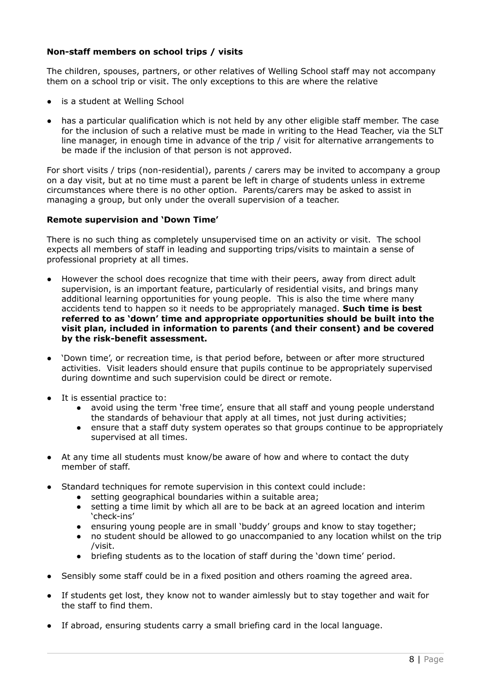# **Non-staff members on school trips / visits**

The children, spouses, partners, or other relatives of Welling School staff may not accompany them on a school trip or visit. The only exceptions to this are where the relative

- is a student at Welling School
- has a particular qualification which is not held by any other eligible staff member. The case for the inclusion of such a relative must be made in writing to the Head Teacher, via the SLT line manager, in enough time in advance of the trip / visit for alternative arrangements to be made if the inclusion of that person is not approved.

For short visits / trips (non-residential), parents / carers may be invited to accompany a group on a day visit, but at no time must a parent be left in charge of students unless in extreme circumstances where there is no other option. Parents/carers may be asked to assist in managing a group, but only under the overall supervision of a teacher.

#### **Remote supervision and 'Down Time'**

There is no such thing as completely unsupervised time on an activity or visit. The school expects all members of staff in leading and supporting trips/visits to maintain a sense of professional propriety at all times.

- However the school does recognize that time with their peers, away from direct adult supervision, is an important feature, particularly of residential visits, and brings many additional learning opportunities for young people. This is also the time where many accidents tend to happen so it needs to be appropriately managed. **Such time is best referred to as 'down' time and appropriate opportunities should be built into the visit plan, included in information to parents (and their consent) and be covered by the risk-benefit assessment.**
- 'Down time', or recreation time, is that period before, between or after more structured activities. Visit leaders should ensure that pupils continue to be appropriately supervised during downtime and such supervision could be direct or remote.
- It is essential practice to:
	- avoid using the term 'free time', ensure that all staff and young people understand the standards of behaviour that apply at all times, not just during activities;
	- ensure that a staff duty system operates so that groups continue to be appropriately supervised at all times.
- At any time all students must know/be aware of how and where to contact the duty member of staff.
- Standard techniques for remote supervision in this context could include:
	- setting geographical boundaries within a suitable area;
	- setting a time limit by which all are to be back at an agreed location and interim 'check-ins'
	- ensuring young people are in small 'buddy' groups and know to stay together;
	- no student should be allowed to go unaccompanied to any location whilst on the trip /visit.
	- briefing students as to the location of staff during the 'down time' period.
- Sensibly some staff could be in a fixed position and others roaming the agreed area.
- If students get lost, they know not to wander aimlessly but to stay together and wait for the staff to find them.
- If abroad, ensuring students carry a small briefing card in the local language.